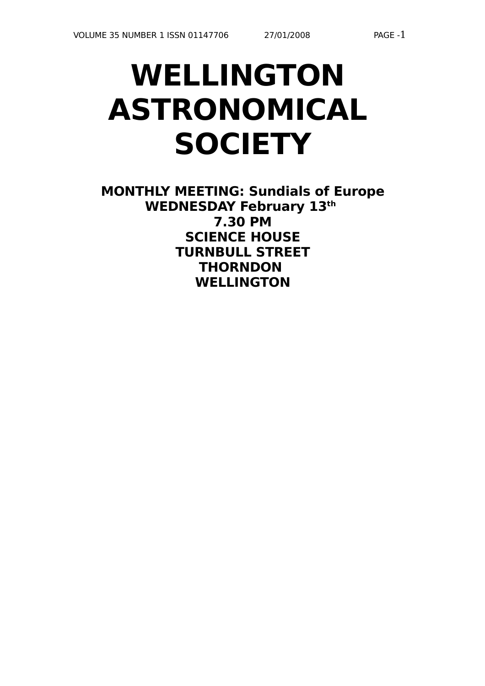# **WELLINGTON ASTRONOMICAL SOCIETY**

**MONTHLY MEETING: Sundials of Europe WEDNESDAY February 13 th 7.30 PM SCIENCE HOUSE TURNBULL STREET THORNDON WELLINGTON**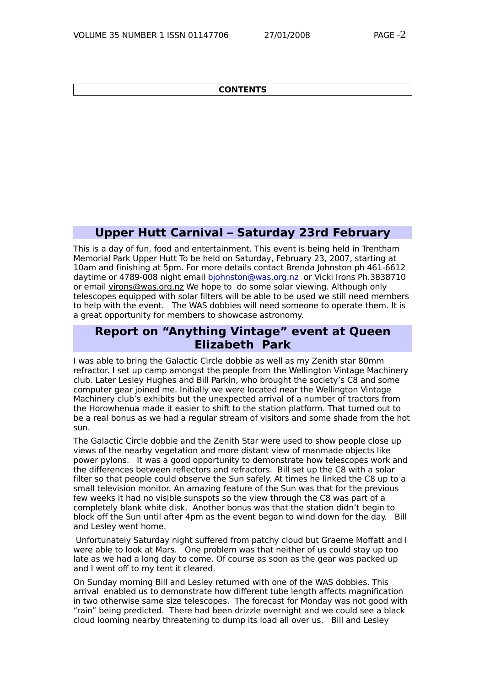**CONTENTS**

## **Upper Hutt Carnival – Saturday 23rd February**

This is a day of fun, food and entertainment. This event is being held in Trentham Memorial Park Upper Hutt To be held on Saturday, February 23, 2007, starting at 10am and finishing at 5pm. For more details contact Brenda Johnston ph 461-6612 daytime or 4789-008 night email [bjohnston@was.org.nz](mailto:bjohnston@was.org.nz.We) or Vicki Irons Ph.3838710 or email [virons@was.org.nz](mailto:virons@astronomy.wellington.net.nz) We hope to do some solar viewing. Although only telescopes equipped with solar filters will be able to be used we still need members to help with the event. The WAS dobbies will need someone to operate them. It is a great opportunity for members to showcase astronomy.

## **Report on "Anything Vintage" event at Queen Elizabeth Park**

I was able to bring the Galactic Circle dobbie as well as my Zenith star 80mm refractor. I set up camp amongst the people from the Wellington Vintage Machinery club. Later Lesley Hughes and Bill Parkin, who brought the society's C8 and some computer gear joined me. Initially we were located near the Wellington Vintage Machinery club's exhibits but the unexpected arrival of a number of tractors from the Horowhenua made it easier to shift to the station platform. That turned out to be a real bonus as we had a regular stream of visitors and some shade from the hot sun.

The Galactic Circle dobbie and the Zenith Star were used to show people close up views of the nearby vegetation and more distant view of manmade objects like power pylons. It was a good opportunity to demonstrate how telescopes work and the differences between reflectors and refractors. Bill set up the C8 with a solar filter so that people could observe the Sun safely. At times he linked the C8 up to a small television monitor. An amazing feature of the Sun was that for the previous few weeks it had no visible sunspots so the view through the C8 was part of a completely blank white disk. Another bonus was that the station didn't begin to block off the Sun until after 4pm as the event began to wind down for the day. Bill and Lesley went home.

Unfortunately Saturday night suffered from patchy cloud but Graeme Moffatt and I were able to look at Mars. One problem was that neither of us could stay up too late as we had a long day to come. Of course as soon as the gear was packed up and I went off to my tent it cleared.

On Sunday morning Bill and Lesley returned with one of the WAS dobbies. This arrival enabled us to demonstrate how different tube length affects magnification in two otherwise same size telescopes. The forecast for Monday was not good with "rain" being predicted. There had been drizzle overnight and we could see a black cloud looming nearby threatening to dump its load all over us. Bill and Lesley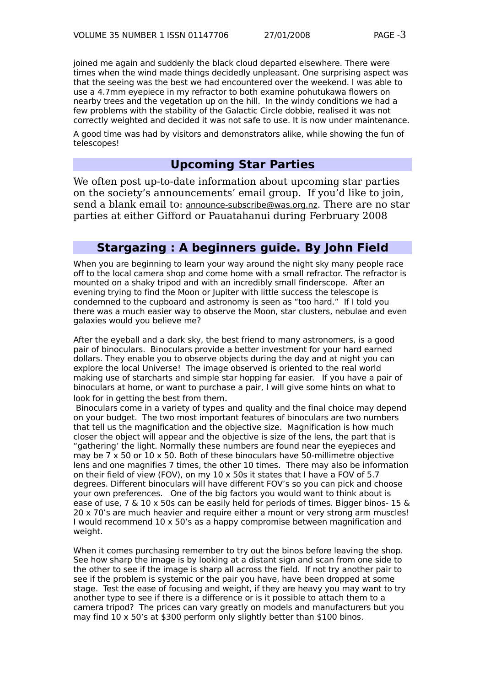joined me again and suddenly the black cloud departed elsewhere. There were times when the wind made things decidedly unpleasant. One surprising aspect was that the seeing was the best we had encountered over the weekend. I was able to use a 4.7mm eyepiece in my refractor to both examine pohutukawa flowers on nearby trees and the vegetation up on the hill. In the windy conditions we had a few problems with the stability of the Galactic Circle dobbie, realised it was not correctly weighted and decided it was not safe to use. It is now under maintenance.

A good time was had by visitors and demonstrators alike, while showing the fun of telescopes!

## **Upcoming Star Parties**

We often post up-to-date information about upcoming star parties on the society's announcements' email group. If you'd like to join, send a blank email to: [announce-subscribe@was.org.nz](mailto:announce-subscribe@astronomy.wellington.net.nz). There are no star parties at either Gifford or Pauatahanui during Ferbruary 2008

## **Stargazing : A beginners guide. By John Field**

When you are beginning to learn your way around the night sky many people race off to the local camera shop and come home with a small refractor. The refractor is mounted on a shaky tripod and with an incredibly small finderscope. After an evening trying to find the Moon or Jupiter with little success the telescope is condemned to the cupboard and astronomy is seen as "too hard." If I told you there was a much easier way to observe the Moon, star clusters, nebulae and even galaxies would you believe me?

After the eyeball and a dark sky, the best friend to many astronomers, is a good pair of binoculars. Binoculars provide a better investment for your hard earned dollars. They enable you to observe objects during the day and at night you can explore the local Universe! The image observed is oriented to the real world making use of starcharts and simple star hopping far easier. If you have a pair of binoculars at home, or want to purchase a pair, I will give some hints on what to look for in getting the best from them.

Binoculars come in a variety of types and quality and the final choice may depend on your budget. The two most important features of binoculars are two numbers that tell us the magnification and the objective size. Magnification is how much closer the object will appear and the objective is size of the lens, the part that is "gathering' the light. Normally these numbers are found near the eyepieces and may be 7 x 50 or 10 x 50. Both of these binoculars have 50-millimetre objective lens and one magnifies 7 times, the other 10 times. There may also be information on their field of view (FOV), on my 10 x 50s it states that I have a FOV of 5.7 degrees. Different binoculars will have different FOV's so you can pick and choose your own preferences. One of the big factors you would want to think about is ease of use, 7 & 10 x 50s can be easily held for periods of times. Bigger binos- 15 & 20 x 70's are much heavier and require either a mount or very strong arm muscles! I would recommend 10 x 50's as a happy compromise between magnification and weight.

When it comes purchasing remember to try out the binos before leaving the shop. See how sharp the image is by looking at a distant sign and scan from one side to the other to see if the image is sharp all across the field. If not try another pair to see if the problem is systemic or the pair you have, have been dropped at some stage. Test the ease of focusing and weight, if they are heavy you may want to try another type to see if there is a difference or is it possible to attach them to a camera tripod? The prices can vary greatly on models and manufacturers but you may find 10 x 50's at \$300 perform only slightly better than \$100 binos.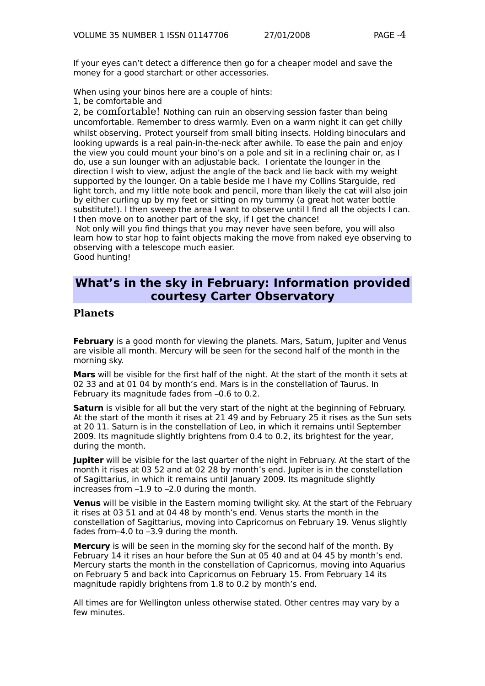If your eyes can't detect a difference then go for a cheaper model and save the money for a good starchart or other accessories.

When using your binos here are a couple of hints:

1, be comfortable and

2, be comfortable! Nothing can ruin an observing session faster than being uncomfortable. Remember to dress warmly. Even on a warm night it can get chilly whilst observing. Protect yourself from small biting insects. Holding binoculars and looking upwards is a real pain-in-the-neck after awhile. To ease the pain and enjoy the view you could mount your bino's on a pole and sit in a reclining chair or, as I do, use a sun lounger with an adjustable back. I orientate the lounger in the direction I wish to view, adjust the angle of the back and lie back with my weight supported by the lounger. On a table beside me I have my Collins Starguide, red light torch, and my little note book and pencil, more than likely the cat will also join by either curling up by my feet or sitting on my tummy (a great hot water bottle substitute!). I then sweep the area I want to observe until I find all the objects I can. I then move on to another part of the sky, if I get the chance!

Not only will you find things that you may never have seen before, you will also learn how to star hop to faint objects making the move from naked eye observing to observing with a telescope much easier. Good hunting!

## **What's in the sky in February: Information provided courtesy Carter Observatory**

#### **Planets**

**February** is a good month for viewing the planets. Mars, Saturn, Jupiter and Venus are visible all month. Mercury will be seen for the second half of the month in the morning sky.

**Mars** will be visible for the first half of the night. At the start of the month it sets at 02 33 and at 01 04 by month's end. Mars is in the constellation of Taurus. In February its magnitude fades from –0.6 to 0.2.

**Saturn** is visible for all but the very start of the night at the beginning of February. At the start of the month it rises at 21 49 and by February 25 it rises as the Sun sets at 20 11. Saturn is in the constellation of Leo, in which it remains until September 2009. Its magnitude slightly brightens from 0.4 to 0.2, its brightest for the year, during the month.

**Jupiter** will be visible for the last quarter of the night in February. At the start of the month it rises at 03 52 and at 02 28 by month's end. Jupiter is in the constellation of Sagittarius, in which it remains until January 2009. Its magnitude slightly increases from –1.9 to –2.0 during the month.

**Venus** will be visible in the Eastern morning twilight sky. At the start of the February it rises at 03 51 and at 04 48 by month's end. Venus starts the month in the constellation of Sagittarius, moving into Capricornus on February 19. Venus slightly fades from–4.0 to –3.9 during the month.

**Mercury** is will be seen in the morning sky for the second half of the month. By February 14 it rises an hour before the Sun at 05 40 and at 04 45 by month's end. Mercury starts the month in the constellation of Capricornus, moving into Aquarius on February 5 and back into Capricornus on February 15. From February 14 its magnitude rapidly brightens from 1.8 to 0.2 by month's end.

All times are for Wellington unless otherwise stated. Other centres may vary by a few minutes.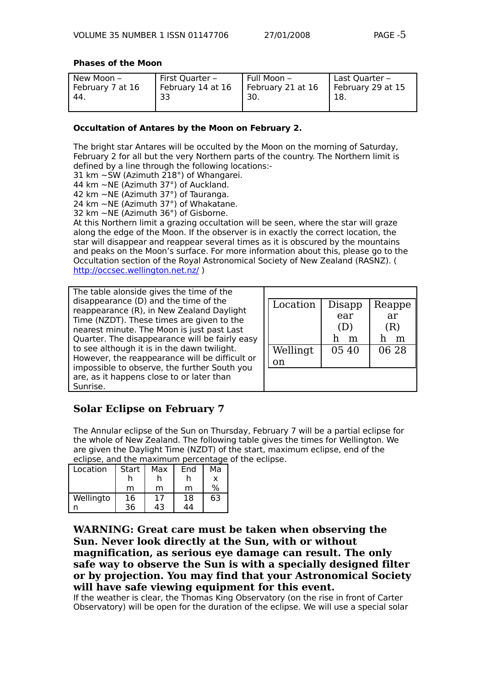#### **Phases of the Moon**

| New Moon –       | First Quarter –   | Full Moon –         | Last Quarter –    |
|------------------|-------------------|---------------------|-------------------|
| February 7 at 16 | February 14 at 16 | February 21 at $16$ | February 29 at 15 |
| -44.             | 33                | 30.                 | 18.               |
|                  |                   |                     |                   |

#### **Occultation of Antares by the Moon on February 2.**

The bright star Antares will be occulted by the Moon on the morning of Saturday, February 2 for all but the very Northern parts of the country. The Northern limit is defined by a line through the following locations:-

31 km ~SW (Azimuth 218°) of Whangarei.

44 km ~NE (Azimuth 37°) of Auckland.

42 km ~NE (Azimuth 37°) of Tauranga.

24 km ~NE (Azimuth 37°) of Whakatane.

32 km ~NE (Azimuth 36°) of Gisborne.

At this Northern limit a grazing occultation will be seen, where the star will graze along the edge of the Moon. If the observer is in exactly the correct location, the star will disappear and reappear several times as it is obscured by the mountains and peaks on the Moon's surface. For more information about this, please go to the Occultation section of the Royal Astronomical Society of New Zealand (RASNZ). ( <http://occsec.wellington.net.nz/> )

| The table alonside gives the time of the                                                       |          |        |        |
|------------------------------------------------------------------------------------------------|----------|--------|--------|
| disappearance (D) and the time of the<br>reappearance (R), in New Zealand Daylight             | Location | Disapp | Reappe |
| Time (NZDT). These times are given to the                                                      |          | ear    | ar     |
| nearest minute. The Moon is just past Last                                                     |          | (D)    | (R)    |
| Quarter. The disappearance will be fairly easy                                                 |          | m      | m      |
| to see although it is in the dawn twilight.                                                    | Wellingt | 05 40  | 06 28  |
| However, the reappearance will be difficult or<br>impossible to observe, the further South you | on       |        |        |
| are, as it happens close to or later than                                                      |          |        |        |
| Sunrise.                                                                                       |          |        |        |
|                                                                                                |          |        |        |

## **Solar Eclipse on February 7**

The Annular eclipse of the Sun on Thursday, February 7 will be a partial eclipse for the whole of New Zealand. The following table gives the times for Wellington. We are given the Daylight Time (NZDT) of the start, maximum eclipse, end of the eclipse, and the maximum percentage of the eclipse.

| Location  | Start | Max | End | Ma |
|-----------|-------|-----|-----|----|
|           |       |     |     | x  |
|           | m     | m   | m   | %  |
| Wellingto | 16    | 17  | 18  | 63 |
|           | 36    | 43  | 44  |    |

**WARNING: Great care must be taken when observing the Sun. Never look directly at the Sun, with or without magnification, as serious eye damage can result. The only safe way to observe the Sun is with a specially designed filter or by projection. You may find that your Astronomical Society will have safe viewing equipment for this event.**

If the weather is clear, the Thomas King Observatory (on the rise in front of Carter Observatory) will be open for the duration of the eclipse. We will use a special solar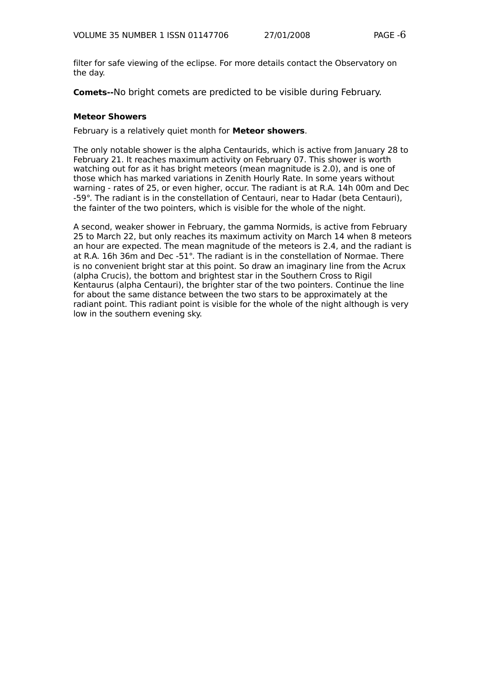filter for safe viewing of the eclipse. For more details contact the Observatory on the day.

**Comets--**No bright comets are predicted to be visible during February.

#### **Meteor Showers**

February is a relatively quiet month for **Meteor showers**.

The only notable shower is the alpha Centaurids, which is active from January 28 to February 21. It reaches maximum activity on February 07. This shower is worth watching out for as it has bright meteors (mean magnitude is 2.0), and is one of those which has marked variations in Zenith Hourly Rate. In some years without warning - rates of 25, or even higher, occur. The radiant is at R.A. 14h 00m and Dec -59 $\degree$ . The radiant is in the constellation of Centauri, near to Hadar (beta Centauri), the fainter of the two pointers, which is visible for the whole of the night.

A second, weaker shower in February, the gamma Normids, is active from February 25 to March 22, but only reaches its maximum activity on March 14 when 8 meteors an hour are expected. The mean magnitude of the meteors is 2.4, and the radiant is at R.A. 16h 36m and Dec -51°. The radiant is in the constellation of Normae. There is no convenient bright star at this point. So draw an imaginary line from the Acrux (alpha Crucis), the bottom and brightest star in the Southern Cross to Rigil Kentaurus (alpha Centauri), the brighter star of the two pointers. Continue the line for about the same distance between the two stars to be approximately at the radiant point. This radiant point is visible for the whole of the night although is very low in the southern evening sky.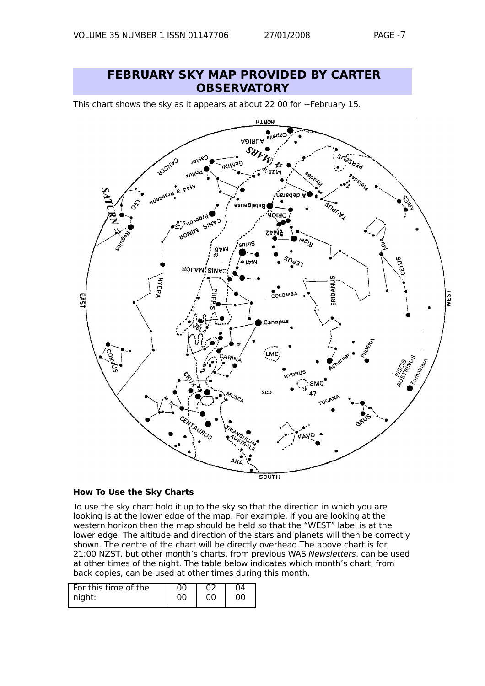**FEBRUARY SKY MAP PROVIDED BY CARTER OBSERVATORY**

This chart shows the sky as it appears at about 22 00 for ~February 15.



#### **How To Use the Sky Charts**

To use the sky chart hold it up to the sky so that the direction in which you are looking is at the lower edge of the map. For example, if you are looking at the western horizon then the map should be held so that the "WEST" label is at the lower edge. The altitude and direction of the stars and planets will then be correctly shown. The centre of the chart will be directly overhead.The above chart is for 21:00 NZST, but other month's charts, from previous WAS Newsletters, can be used at other times of the night. The table below indicates which month's chart, from back copies, can be used at other times during this month.

| For this time of the | 00 | 02 | 04 |
|----------------------|----|----|----|
| night:               | 00 | 00 | 00 |
|                      |    |    |    |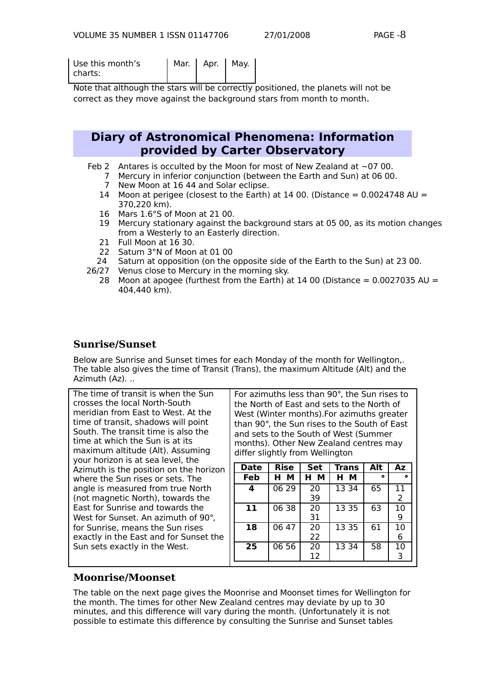| Use this month's | Mar.   Apr.   May. |  |  |
|------------------|--------------------|--|--|
| charts:          |                    |  |  |

Note that although the stars will be correctly positioned, the planets will not be correct as they move against the background stars from month to month.

## **Diary of Astronomical Phenomena: Information provided by Carter Observatory**

Feb 2 Antares is occulted by the Moon for most of New Zealand at  $\sim$  07 00.

- 7 Mercury in inferior conjunction (between the Earth and Sun) at 06 00. 7 New Moon at 16 44 and Solar eclipse.
- 14 Moon at perigee (closest to the Earth) at 14 00. (Distance  $= 0.0024748$  AU  $=$ 370,220 km).
- 16 Mars 1.6°S of Moon at 21 00.
- 19 Mercury stationary against the background stars at 05 00, as its motion changes from a Westerly to an Easterly direction.
- 21 Full Moon at 16 30.
- 22 Saturn 3°N of Moon at 01 00
- 24 Saturn at opposition (on the opposite side of the Earth to the Sun) at 23 00.
- 26/27 Venus close to Mercury in the morning sky.
	- 28 Moon at apogee (furthest from the Earth) at 14 00 (Distance =  $0.0027035$  AU = 404,440 km).

### **Sunrise/Sunset**

Below are Sunrise and Sunset times for each Monday of the month for Wellington,. The table also gives the time of Transit (Trans), the maximum Altitude (Alt) and the Azimuth (Az). ..

The time of transit is when the Sun crosses the local North-South meridian from East to West. At the time of transit, shadows will point South. The transit time is also the time at which the Sun is at its maximum altitude (Alt). Assuming your horizon is at sea level, the Azimuth is the position on the horizon where the Sun rises or sets. The angle is measured from true North (not magnetic North), towards the East for Sunrise and towards the West for Sunset. An azimuth of 90°, for Sunrise, means the Sun rises exactly in the East and for Sunset the Sun sets exactly in the West.

For azimuths less than 90°, the Sun rises to the North of East and sets to the North of West (Winter months).For azimuths greater than 90°, the Sun rises to the South of East and sets to the South of West (Summer months). Other New Zealand centres may differ slightly from Wellington

| Date | <b>Rise</b> | <b>Set</b> | <b>Trans</b> | Alt       | Az      |
|------|-------------|------------|--------------|-----------|---------|
| Feb  | H M         | н м        | н м          | $\bullet$ | $\circ$ |
| 4    | 06 29       | 20<br>39   | 13 34        | 65        | 11<br>2 |
| 11   | 06 38       | 20<br>31   | 13 35        | 63        | 10<br>9 |
| 18   | 06 47       | 20<br>22   | 13 35        | 61        | 10<br>6 |
| 25   | 06 56       | 20<br>12   | 13 34        | 58        | 10<br>3 |

## **Moonrise/Moonset**

The table on the next page gives the Moonrise and Moonset times for Wellington for the month. The times for other New Zealand centres may deviate by up to 30 minutes, and this difference will vary during the month. (Unfortunately it is not possible to estimate this difference by consulting the Sunrise and Sunset tables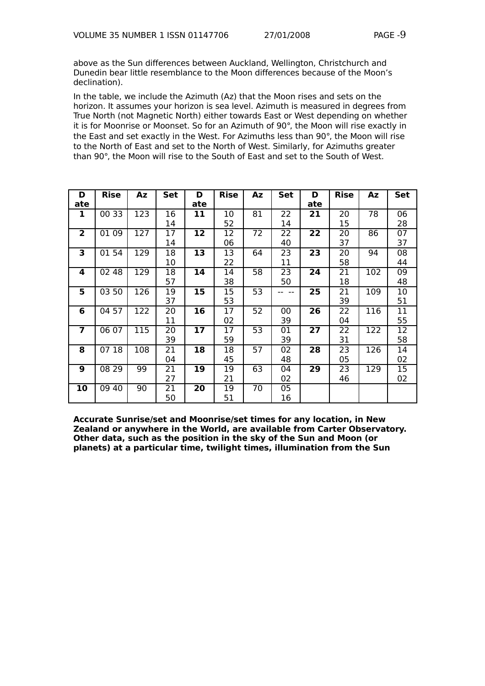above as the Sun differences between Auckland, Wellington, Christchurch and Dunedin bear little resemblance to the Moon differences because of the Moon's declination).

In the table, we include the Azimuth (Az) that the Moon rises and sets on the horizon. It assumes your horizon is sea level. Azimuth is measured in degrees from True North (not Magnetic North) either towards East or West depending on whether it is for Moonrise or Moonset. So for an Azimuth of 90°, the Moon will rise exactly in the East and set exactly in the West. For Azimuths less than 90°, the Moon will rise to the North of East and set to the North of West. Similarly, for Azimuths greater than 90°, the Moon will rise to the South of East and set to the South of West.

| D<br>ate     | <b>Rise</b> | Az  | Set      | D<br>ate | <b>Rise</b> | Az | Set      | D<br>ate | <b>Rise</b> | Az  | Set      |
|--------------|-------------|-----|----------|----------|-------------|----|----------|----------|-------------|-----|----------|
| 1            | 00 33       | 123 | 16<br>14 | 11       | 10<br>52    | 81 | 22<br>14 | 21       | 20<br>15    | 78  | 06<br>28 |
| $\mathbf{2}$ | 01 09       | 127 | 17<br>14 | 12       | 12<br>06    | 72 | 22<br>40 | 22       | 20<br>37    | 86  | 07<br>37 |
| 3            | 01 54       | 129 | 18<br>10 | 13       | 13<br>22    | 64 | 23<br>11 | 23       | 20<br>58    | 94  | 08<br>44 |
| 4            | 02 48       | 129 | 18<br>57 | 14       | 14<br>38    | 58 | 23<br>50 | 24       | 21<br>18    | 102 | 09<br>48 |
| 5            | 03 50       | 126 | 19<br>37 | 15       | 15<br>53    | 53 |          | 25       | 21<br>39    | 109 | 10<br>51 |
| 6            | 04 57       | 122 | 20<br>11 | 16       | 17<br>02    | 52 | 00<br>39 | 26       | 22<br>04    | 116 | 11<br>55 |
| 7            | 06 07       | 115 | 20<br>39 | 17       | 17<br>59    | 53 | 01<br>39 | 27       | 22<br>31    | 122 | 12<br>58 |
| 8            | 07 18       | 108 | 21<br>04 | 18       | 18<br>45    | 57 | 02<br>48 | 28       | 23<br>05    | 126 | 14<br>02 |
| 9            | 08 29       | 99  | 21<br>27 | 19       | 19<br>21    | 63 | 04<br>02 | 29       | 23<br>46    | 129 | 15<br>02 |
| 10           | 09 40       | 90  | 21<br>50 | 20       | 19<br>51    | 70 | 05<br>16 |          |             |     |          |

**Accurate Sunrise/set and Moonrise/set times for any location, in New Zealand or anywhere in the World, are available from Carter Observatory. Other data, such as the position in the sky of the Sun and Moon (or planets) at a particular time, twilight times, illumination from the Sun**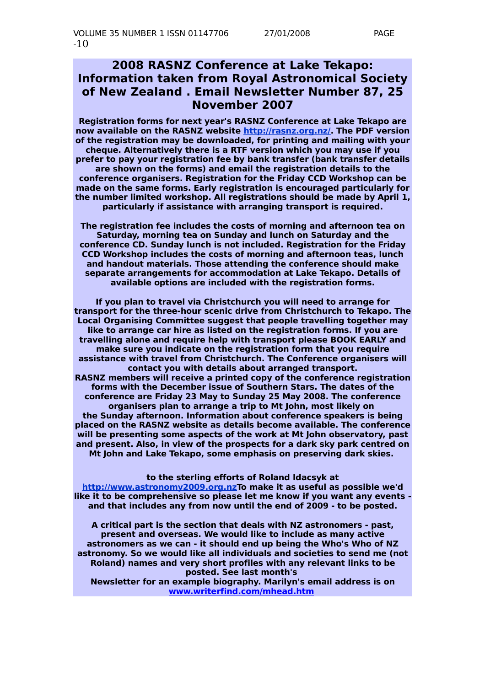## **2008 RASNZ Conference at Lake Tekapo: Information taken from Royal Astronomical Society of New Zealand . Email Newsletter Number 87, 25 November 2007**

**Registration forms for next year's RASNZ Conference at Lake Tekapo are now available on the RASNZ website [http://rasnz.org.nz/.](http://rasnz.org.nz/) The PDF version of the registration may be downloaded, for printing and mailing with your cheque. Alternatively there is a RTF version which you may use if you prefer to pay your registration fee by bank transfer (bank transfer details are shown on the forms) and email the registration details to the conference organisers. Registration for the Friday CCD Workshop can be made on the same forms. Early registration is encouraged particularly for the number limited workshop. All registrations should be made by April 1, particularly if assistance with arranging transport is required.**

**The registration fee includes the costs of morning and afternoon tea on Saturday, morning tea on Sunday and lunch on Saturday and the conference CD. Sunday lunch is not included. Registration for the Friday CCD Workshop includes the costs of morning and afternoon teas, lunch and handout materials. Those attending the conference should make separate arrangements for accommodation at Lake Tekapo. Details of available options are included with the registration forms.**

**If you plan to travel via Christchurch you will need to arrange for transport for the three-hour scenic drive from Christchurch to Tekapo. The Local Organising Committee suggest that people travelling together may like to arrange car hire as listed on the registration forms. If you are travelling alone and require help with transport please BOOK EARLY and make sure you indicate on the registration form that you require assistance with travel from Christchurch. The Conference organisers will contact you with details about arranged transport. RASNZ members will receive a printed copy of the conference registration forms with the December issue of Southern Stars. The dates of the conference are Friday 23 May to Sunday 25 May 2008. The conference organisers plan to arrange a trip to Mt John, most likely on the Sunday afternoon. Information about conference speakers is being placed on the RASNZ website as details become available. The conference will be presenting some aspects of the work at Mt John observatory, past and present. Also, in view of the prospects for a dark sky park centred on Mt John and Lake Tekapo, some emphasis on preserving dark skies.**

**to the sterling efforts of Roland Idacsyk at [http://www.astronomy2009.org.nzT](http://www.astronomy2009.org.nz/)o make it as useful as possible we'd like it to be comprehensive so please let me know if you want any events and that includes any from now until the end of 2009 - to be posted.**

**A critical part is the section that deals with NZ astronomers - past, present and overseas. We would like to include as many active astronomers as we can - it should end up being the Who's Who of NZ astronomy. So we would like all individuals and societies to send me (not Roland) names and very short profiles with any relevant links to be posted. See last month's**

**Newsletter for an example biography. Marilyn's email address is on [www.writerfind.com/mhead.htm](http://www.writerfind.com/mhead.htm)**